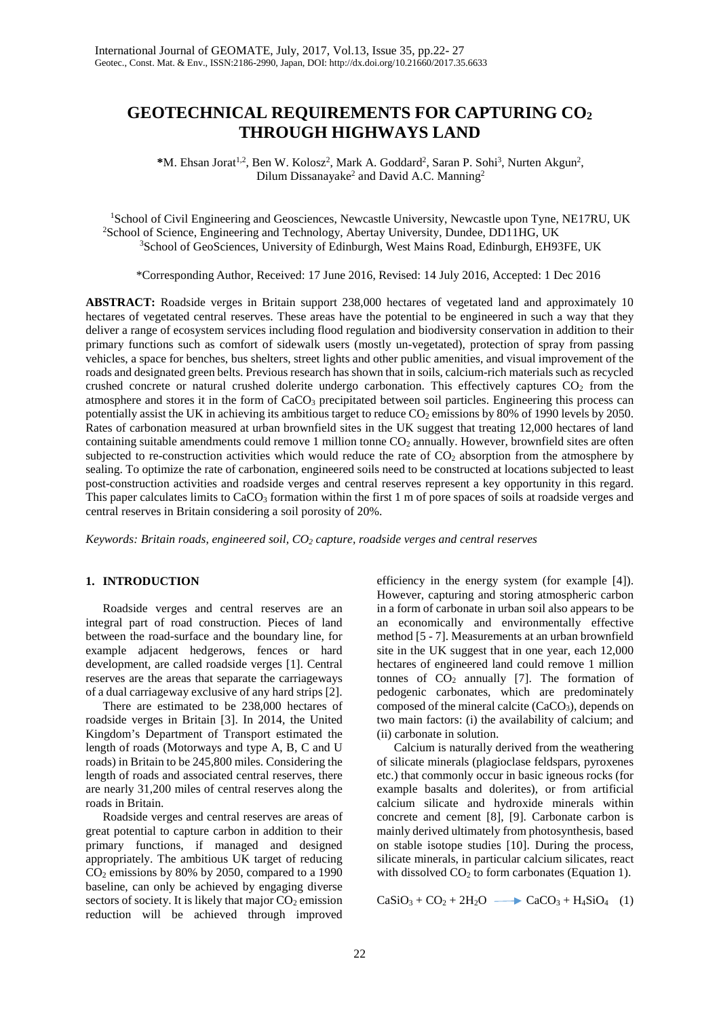# **GEOTECHNICAL REQUIREMENTS FOR CAPTURING CO<sup>2</sup> THROUGH HIGHWAYS LAND**

\*M. Ehsan Jorat<sup>1,2</sup>, Ben W. Kolosz<sup>2</sup>, Mark A. Goddard<sup>2</sup>, Saran P. Sohi<sup>3</sup>, Nurten Akgun<sup>2</sup>, Dilum Dissanayake<sup>2</sup> and David A.C. Manning<sup>2</sup>

<sup>1</sup>School of Civil Engineering and Geosciences, Newcastle University, Newcastle upon Tyne, NE17RU, UK <sup>2</sup>School of Science, Engineering and Technology, Abertay University, Dundee, DD11HG, UK <sup>3</sup>School of GeoSciences, University of Edinburgh, West Mains Road, Edinburgh, EH93FE, UK

\*Corresponding Author, Received: 17 June 2016, Revised: 14 July 2016, Accepted: 1 Dec 2016

**ABSTRACT:** Roadside verges in Britain support 238,000 hectares of vegetated land and approximately 10 hectares of vegetated central reserves. These areas have the potential to be engineered in such a way that they deliver a range of ecosystem services including flood regulation and biodiversity conservation in addition to their primary functions such as comfort of sidewalk users (mostly un-vegetated), protection of spray from passing vehicles, a space for benches, bus shelters, street lights and other public amenities, and visual improvement of the roads and designated green belts. Previous research has shown that in soils, calcium-rich materials such as recycled crushed concrete or natural crushed dolerite undergo carbonation. This effectively captures  $CO<sub>2</sub>$  from the atmosphere and stores it in the form of  $CaCO<sub>3</sub>$  precipitated between soil particles. Engineering this process can potentially assist the UK in achieving its ambitious target to reduce  $CO<sub>2</sub>$  emissions by 80% of 1990 levels by 2050. Rates of carbonation measured at urban brownfield sites in the UK suggest that treating 12,000 hectares of land containing suitable amendments could remove 1 million tonne CO<sub>2</sub> annually. However, brownfield sites are often subjected to re-construction activities which would reduce the rate of  $CO<sub>2</sub>$  absorption from the atmosphere by sealing. To optimize the rate of carbonation, engineered soils need to be constructed at locations subjected to least post-construction activities and roadside verges and central reserves represent a key opportunity in this regard. This paper calculates limits to  $CaCO<sub>3</sub>$  formation within the first 1 m of pore spaces of soils at roadside verges and central reserves in Britain considering a soil porosity of 20%.

*Keywords: Britain roads, engineered soil, CO2 capture, roadside verges and central reserves* 

#### **1. INTRODUCTION**

Roadside verges and central reserves are an integral part of road construction. Pieces of land between the road-surface and the boundary line, for example adjacent hedgerows, fences or hard development, are called roadside verges [1]. Central reserves are the areas that separate the carriageways of a dual carriageway exclusive of any hard strips [2].

There are estimated to be 238,000 hectares of roadside verges in Britain [3]. In 2014, the United Kingdom's Department of Transport estimated the length of roads (Motorways and type A, B, C and U roads) in Britain to be 245,800 miles. Considering the length of roads and associated central reserves, there are nearly 31,200 miles of central reserves along the roads in Britain.

Roadside verges and central reserves are areas of great potential to capture carbon in addition to their primary functions, if managed and designed appropriately. The ambitious UK target of reducing  $CO<sub>2</sub>$  emissions by 80% by 2050, compared to a 1990 baseline, can only be achieved by engaging diverse sectors of society. It is likely that major  $CO<sub>2</sub>$  emission reduction will be achieved through improved

efficiency in the energy system (for example [4]). However, capturing and storing atmospheric carbon in a form of carbonate in urban soil also appears to be an economically and environmentally effective method [5 - 7]. Measurements at an urban brownfield site in the UK suggest that in one year, each 12,000 hectares of engineered land could remove 1 million tonnes of  $CO<sub>2</sub>$  annually [7]. The formation of pedogenic carbonates, which are predominately composed of the mineral calcite  $(CaCO<sub>3</sub>)$ , depends on two main factors: (i) the availability of calcium; and (ii) carbonate in solution.

Calcium is naturally derived from the weathering of silicate minerals (plagioclase feldspars, pyroxenes etc.) that commonly occur in basic igneous rocks (for example basalts and dolerites), or from artificial calcium silicate and hydroxide minerals within concrete and cement [8], [9]. Carbonate carbon is mainly derived ultimately from photosynthesis, based on stable isotope studies [10]. During the process, silicate minerals, in particular calcium silicates, react with dissolved  $CO<sub>2</sub>$  to form carbonates (Equation 1).

 $CaSiO<sub>3</sub> + CO<sub>2</sub> + 2H<sub>2</sub>O \longrightarrow CaCO<sub>3</sub> + H<sub>4</sub>SiO<sub>4</sub> (1)$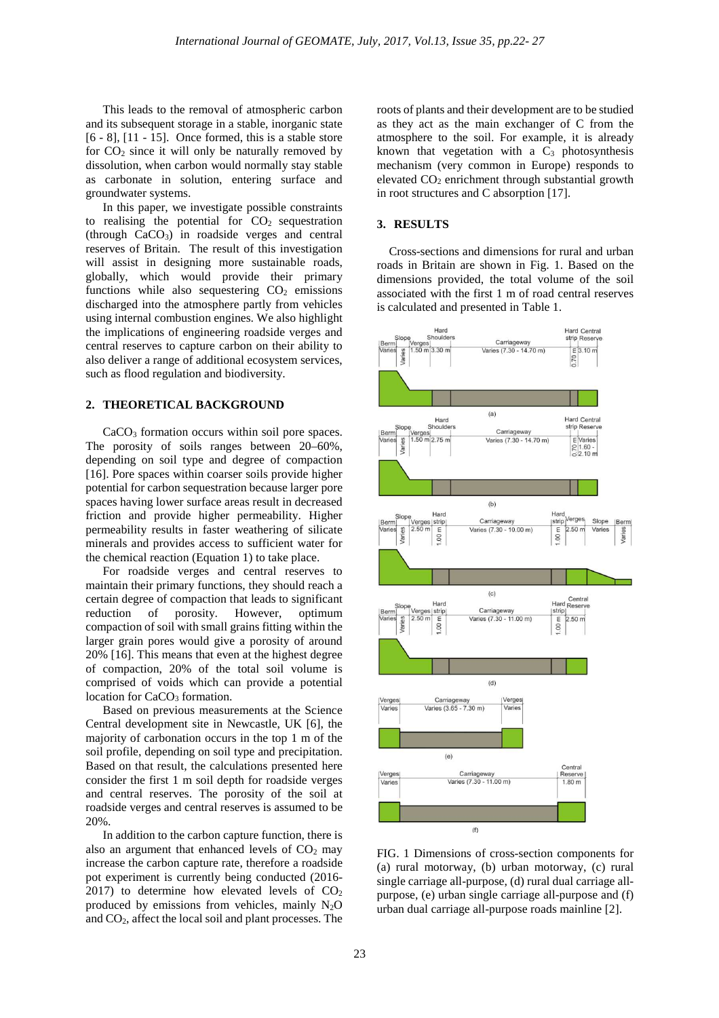This leads to the removal of atmospheric carbon and its subsequent storage in a stable, inorganic state [6 - 8], [11 - 15]. Once formed, this is a stable store for  $CO<sub>2</sub>$  since it will only be naturally removed by dissolution, when carbon would normally stay stable as carbonate in solution, entering surface and groundwater systems.

In this paper, we investigate possible constraints to realising the potential for  $CO<sub>2</sub>$  sequestration (through CaCO3) in roadside verges and central reserves of Britain. The result of this investigation will assist in designing more sustainable roads, globally, which would provide their primary functions while also sequestering  $CO<sub>2</sub>$  emissions discharged into the atmosphere partly from vehicles using internal combustion engines. We also highlight the implications of engineering roadside verges and central reserves to capture carbon on their ability to also deliver a range of additional ecosystem services, such as flood regulation and biodiversity.

### **2. THEORETICAL BACKGROUND**

CaCO<sub>3</sub> formation occurs within soil pore spaces. The porosity of soils ranges between 20–60%, depending on soil type and degree of compaction [16]. Pore spaces within coarser soils provide higher potential for carbon sequestration because larger pore spaces having lower surface areas result in decreased friction and provide higher permeability. Higher permeability results in faster weathering of silicate minerals and provides access to sufficient water for the chemical reaction (Equation 1) to take place.

For roadside verges and central reserves to maintain their primary functions, they should reach a certain degree of compaction that leads to significant reduction of porosity. However, optimum compaction of soil with small grains fitting within the larger grain pores would give a porosity of around 20% [16]. This means that even at the highest degree of compaction, 20% of the total soil volume is comprised of voids which can provide a potential location for CaCO<sub>3</sub> formation.

Based on previous measurements at the Science Central development site in Newcastle, UK [6], the majority of carbonation occurs in the top 1 m of the soil profile, depending on soil type and precipitation. Based on that result, the calculations presented here consider the first 1 m soil depth for roadside verges and central reserves. The porosity of the soil at roadside verges and central reserves is assumed to be 20%.

In addition to the carbon capture function, there is also an argument that enhanced levels of  $CO<sub>2</sub>$  may increase the carbon capture rate, therefore a roadside pot experiment is currently being conducted (2016- 2017) to determine how elevated levels of  $CO<sub>2</sub>$ produced by emissions from vehicles, mainly  $N_2O$ and CO2, affect the local soil and plant processes. The

roots of plants and their development are to be studied as they act as the main exchanger of C from the atmosphere to the soil. For example, it is already known that vegetation with a  $C_3$  photosynthesis mechanism (very common in Europe) responds to elevated CO<sub>2</sub> enrichment through substantial growth in root structures and C absorption [17].

#### **3. RESULTS**

 Cross-sections and dimensions for rural and urban roads in Britain are shown in Fig. 1. Based on the dimensions provided, the total volume of the soil associated with the first 1 m of road central reserves is calculated and presented in Table 1.



FIG. 1 Dimensions of cross-section components for (a) rural motorway, (b) urban motorway, (c) rural single carriage all-purpose, (d) rural dual carriage allpurpose, (e) urban single carriage all-purpose and (f) urban dual carriage all-purpose roads mainline [2].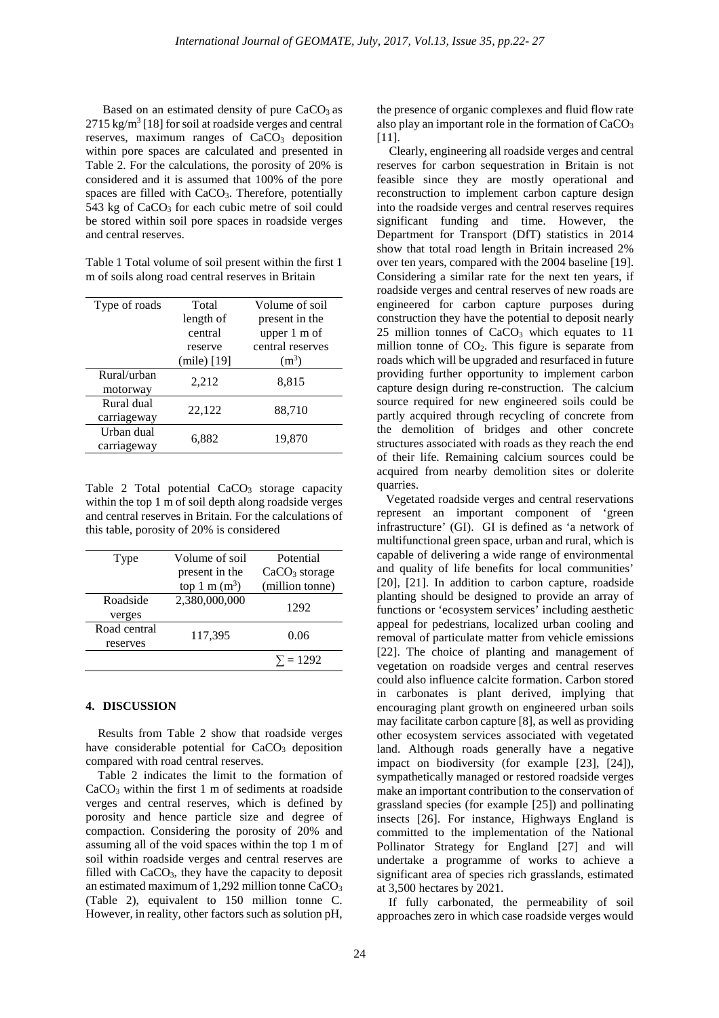Based on an estimated density of pure  $CaCO<sub>3</sub>$  as  $2715 \text{ kg/m}^3$  [18] for soil at roadside verges and central reserves, maximum ranges of  $CaCO<sub>3</sub>$  deposition within pore spaces are calculated and presented in Table 2. For the calculations, the porosity of 20% is considered and it is assumed that 100% of the pore spaces are filled with  $CaCO<sub>3</sub>$ . Therefore, potentially  $543$  kg of CaCO<sub>3</sub> for each cubic metre of soil could be stored within soil pore spaces in roadside verges and central reserves.

Table 1 Total volume of soil present within the first 1 m of soils along road central reserves in Britain

| Type of roads | Total         | Volume of soil   |
|---------------|---------------|------------------|
|               | length of     | present in the   |
|               | central       | upper 1 m of     |
|               | reserve       | central reserves |
|               | $(mile)$ [19] | $(m^3)$          |
| Rural/urban   |               |                  |
| motorway      | 2,212         | 8,815            |
| Rural dual    | 22,122        | 88,710           |
| carriageway   |               |                  |
| Urban dual    |               |                  |
| carriageway   | 6,882         | 19,870           |
|               |               |                  |

Table 2 Total potential  $CaCO<sub>3</sub>$  storage capacity within the top 1 m of soil depth along roadside verges and central reserves in Britain. For the calculations of this table, porosity of 20% is considered

| Type         | Volume of soil  | Potential       |
|--------------|-----------------|-----------------|
|              | present in the  | $CaCO3$ storage |
|              | top 1 m $(m^3)$ | (million tonne) |
| Roadside     | 2,380,000,000   | 1292            |
| verges       |                 |                 |
| Road central | 117,395         | 0.06            |
| reserves     |                 |                 |
|              |                 | $\Sigma = 1292$ |
|              |                 |                 |

### **4. DISCUSSION**

 Results from Table 2 show that roadside verges have considerable potential for CaCO<sub>3</sub> deposition compared with road central reserves.

 Table 2 indicates the limit to the formation of  $CaCO<sub>3</sub>$  within the first 1 m of sediments at roadside verges and central reserves, which is defined by porosity and hence particle size and degree of compaction. Considering the porosity of 20% and assuming all of the void spaces within the top 1 m of soil within roadside verges and central reserves are filled with  $CaCO<sub>3</sub>$ , they have the capacity to deposit an estimated maximum of 1,292 million tonne  $CaCO<sub>3</sub>$ (Table 2), equivalent to 150 million tonne C. However, in reality, other factors such as solution pH,

the presence of organic complexes and fluid flow rate also play an important role in the formation of CaCO<sub>3</sub> [11].

 Clearly, engineering all roadside verges and central reserves for carbon sequestration in Britain is not feasible since they are mostly operational and reconstruction to implement carbon capture design into the roadside verges and central reserves requires significant funding and time. However, the Department for Transport (DfT) statistics in 2014 show that total road length in Britain increased 2% over ten years, compared with the 2004 baseline [19]. Considering a similar rate for the next ten years, if roadside verges and central reserves of new roads are engineered for carbon capture purposes during construction they have the potential to deposit nearly 25 million tonnes of  $CaCO<sub>3</sub>$  which equates to 11 million tonne of  $CO<sub>2</sub>$ . This figure is separate from roads which will be upgraded and resurfaced in future providing further opportunity to implement carbon capture design during re-construction. The calcium source required for new engineered soils could be partly acquired through recycling of concrete from the demolition of bridges and other concrete structures associated with roads as they reach the end of their life. Remaining calcium sources could be acquired from nearby demolition sites or dolerite quarries.

 Vegetated roadside verges and central reservations represent an important component of 'green infrastructure' (GI). GI is defined as 'a network of multifunctional green space, urban and rural, which is capable of delivering a wide range of environmental and quality of life benefits for local communities' [20], [21]. In addition to carbon capture, roadside planting should be designed to provide an array of functions or 'ecosystem services' including aesthetic appeal for pedestrians, localized urban cooling and removal of particulate matter from vehicle emissions [22]. The choice of planting and management of vegetation on roadside verges and central reserves could also influence calcite formation. Carbon stored in carbonates is plant derived, implying that encouraging plant growth on engineered urban soils may facilitate carbon capture [8], as well as providing other ecosystem services associated with vegetated land. Although roads generally have a negative impact on biodiversity (for example [23], [24]), sympathetically managed or restored roadside verges make an important contribution to the conservation of grassland species (for example [25]) and pollinating insects [26]. For instance, Highways England is committed to the implementation of the National Pollinator Strategy for England [27] and will undertake a programme of works to achieve a significant area of species rich grasslands, estimated at 3,500 hectares by 2021.

If fully carbonated, the permeability of soil approaches zero in which case roadside verges would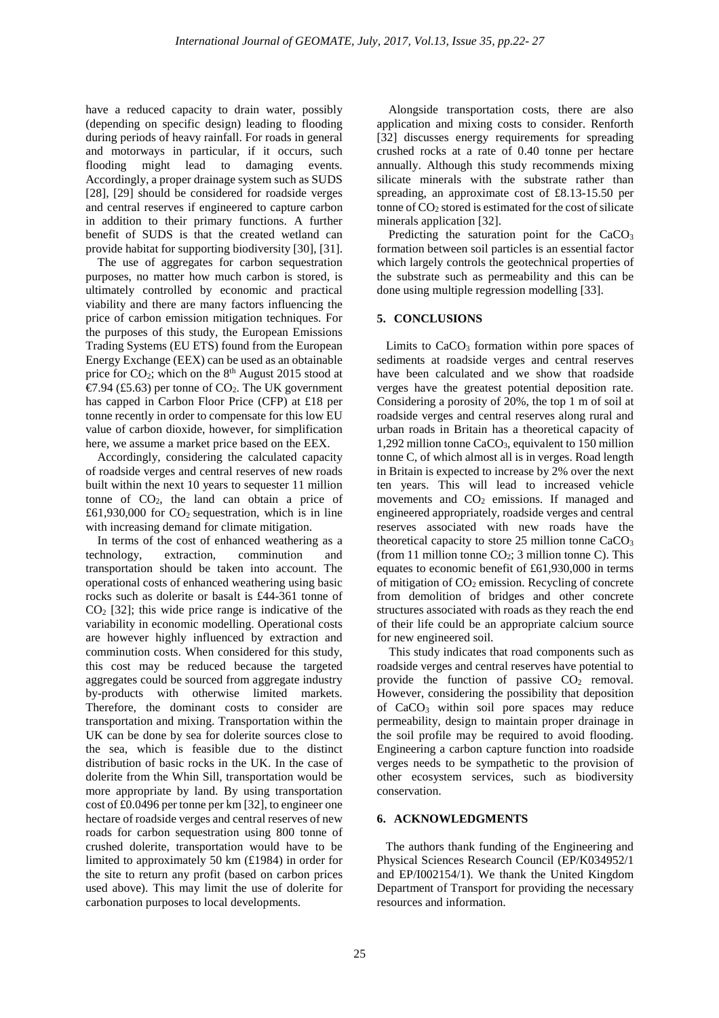have a reduced capacity to drain water, possibly (depending on specific design) leading to flooding during periods of heavy rainfall. For roads in general and motorways in particular, if it occurs, such flooding might lead to damaging events. Accordingly, a proper drainage system such as SUDS [28], [29] should be considered for roadside verges and central reserves if engineered to capture carbon in addition to their primary functions. A further benefit of SUDS is that the created wetland can provide habitat for supporting biodiversity [30], [31].

The use of aggregates for carbon sequestration purposes, no matter how much carbon is stored, is ultimately controlled by economic and practical viability and there are many factors influencing the price of carbon emission mitigation techniques. For the purposes of this study, the European Emissions Trading Systems (EU ETS) found from the European Energy Exchange (EEX) can be used as an obtainable price for CO<sub>2</sub>; which on the 8<sup>th</sup> August 2015 stood at €7.94 (£5.63) per tonne of CQ. The UK government has capped in Carbon Floor Price (CFP) at £18 per tonne recently in order to compensate for this low EU value of carbon dioxide, however, for simplification here, we assume a market price based on the EEX.

Accordingly, considering the calculated capacity of roadside verges and central reserves of new roads built within the next 10 years to sequester 11 million tonne of  $CO<sub>2</sub>$ , the land can obtain a price of £61,930,000 for  $CO<sub>2</sub>$  sequestration, which is in line with increasing demand for climate mitigation.

In terms of the cost of enhanced weathering as a technology, extraction, comminution and transportation should be taken into account. The operational costs of enhanced weathering using basic rocks such as dolerite or basalt is £44-361 tonne of  $CO<sub>2</sub>$  [32]; this wide price range is indicative of the variability in economic modelling. Operational costs are however highly influenced by extraction and comminution costs. When considered for this study, this cost may be reduced because the targeted aggregates could be sourced from aggregate industry by-products with otherwise limited markets. Therefore, the dominant costs to consider are transportation and mixing. Transportation within the UK can be done by sea for dolerite sources close to the sea, which is feasible due to the distinct distribution of basic rocks in the UK. In the case of dolerite from the Whin Sill, transportation would be more appropriate by land. By using transportation cost of £0.0496 per tonne per km [32], to engineer one hectare of roadside verges and central reserves of new roads for carbon sequestration using 800 tonne of crushed dolerite, transportation would have to be limited to approximately 50 km (£1984) in order for the site to return any profit (based on carbon prices used above). This may limit the use of dolerite for carbonation purposes to local developments.

Alongside transportation costs, there are also application and mixing costs to consider. Renforth [32] discusses energy requirements for spreading crushed rocks at a rate of 0.40 tonne per hectare annually. Although this study recommends mixing silicate minerals with the substrate rather than spreading, an approximate cost of £8.13-15.50 per tonne of  $CO<sub>2</sub>$  stored is estimated for the cost of silicate minerals application [32].

Predicting the saturation point for the CaCO<sub>3</sub> formation between soil particles is an essential factor which largely controls the geotechnical properties of the substrate such as permeability and this can be done using multiple regression modelling [33].

## **5. CONCLUSIONS**

Limits to  $CaCO<sub>3</sub>$  formation within pore spaces of sediments at roadside verges and central reserves have been calculated and we show that roadside verges have the greatest potential deposition rate. Considering a porosity of 20%, the top 1 m of soil at roadside verges and central reserves along rural and urban roads in Britain has a theoretical capacity of 1,292 million tonne  $CaCO<sub>3</sub>$ , equivalent to 150 million tonne C, of which almost all is in verges. Road length in Britain is expected to increase by 2% over the next ten years. This will lead to increased vehicle movements and  $CO<sub>2</sub>$  emissions. If managed and engineered appropriately, roadside verges and central reserves associated with new roads have the theoretical capacity to store 25 million tonne CaCO<sub>3</sub> (from 11 million tonne  $CO<sub>2</sub>$ ; 3 million tonne C). This equates to economic benefit of £61,930,000 in terms of mitigation of  $CO<sub>2</sub>$  emission. Recycling of concrete from demolition of bridges and other concrete structures associated with roads as they reach the end of their life could be an appropriate calcium source for new engineered soil.

 This study indicates that road components such as roadside verges and central reserves have potential to provide the function of passive  $CO<sub>2</sub>$  removal. However, considering the possibility that deposition of CaCO3 within soil pore spaces may reduce permeability, design to maintain proper drainage in the soil profile may be required to avoid flooding. Engineering a carbon capture function into roadside verges needs to be sympathetic to the provision of other ecosystem services, such as biodiversity conservation.

### **6. ACKNOWLEDGMENTS**

 The authors thank funding of the Engineering and Physical Sciences Research Council (EP/K034952/1 and EP/I002154/1). We thank the United Kingdom Department of Transport for providing the necessary resources and information.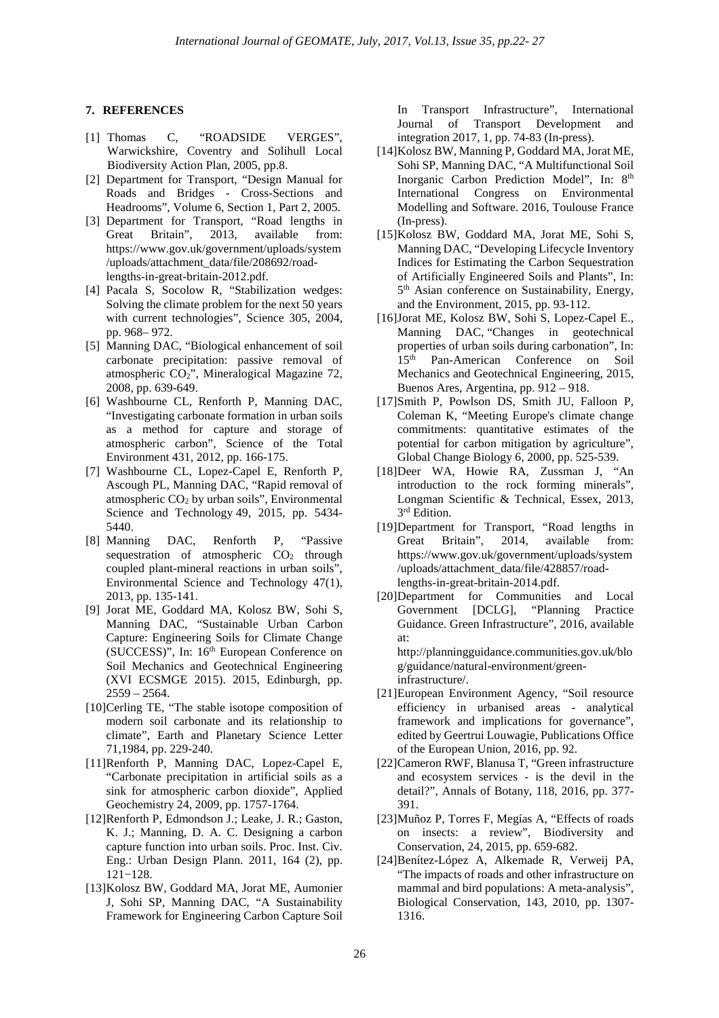### **7. REFERENCES**

- [1] Thomas C, "ROADSIDE VERGES", Warwickshire, Coventry and Solihull Local Biodiversity Action Plan, 2005, pp.8.
- [2] Department for Transport, "Design Manual for Roads and Bridges - Cross-Sections and Headrooms", Volume 6, Section 1, Part 2, 2005.
- [3] Department for Transport, "Road lengths in Great Britain", 2013, available from: https://www.gov.uk/government/uploads/system /uploads/attachment\_data/file/208692/roadlengths-in-great-britain-2012.pdf.
- [4] Pacala S, Socolow R, "Stabilization wedges: Solving the climate problem for the next 50 years with current technologies", Science 305, 2004, pp. 968– 972.
- [5] Manning DAC, "Biological enhancement of soil carbonate precipitation: passive removal of atmospheric CO2", Mineralogical Magazine 72, 2008, pp. 639-649.
- [6] Washbourne CL, Renforth P, Manning DAC, "Investigating carbonate formation in urban soils as a method for capture and storage of atmospheric carbon", Science of the Total Environment 431, 2012, pp. 166-175.
- [7] Washbourne CL, Lopez-Capel E, Renforth P, Ascough PL, Manning DAC, "Rapid removal of atmospheric  $CO<sub>2</sub>$  by urban soils", Environmental Science and Technology 49, 2015, pp. 5434- 5440.
- [8] Manning DAC, Renforth P, "Passive sequestration of atmospheric  $CO<sub>2</sub>$  through coupled plant-mineral reactions in urban soils", Environmental Science and Technology 47(1), 2013, pp. 135-141.
- [9] Jorat ME, Goddard MA, Kolosz BW, Sohi S, Manning DAC, "Sustainable Urban Carbon Capture: Engineering Soils for Climate Change (SUCCESS)", In: 16<sup>th</sup> European Conference on Soil Mechanics and Geotechnical Engineering (XVI ECSMGE 2015). 2015, Edinburgh, pp. 2559 – 2564.
- [10] Cerling TE, "The stable isotope composition of modern soil carbonate and its relationship to climate", Earth and Planetary Science Letter 71,1984, pp. 229-240.
- [11] Renforth P, Manning DAC, Lopez-Capel E, "Carbonate precipitation in artificial soils as a sink for atmospheric carbon dioxide", Applied Geochemistry 24, 2009, pp. 1757-1764.
- [12] Renforth P, Edmondson J.; Leake, J. R.; Gaston, K. J.; Manning, D. A. C. Designing a carbon capture function into urban soils. Proc. Inst. Civ. Eng.: Urban Design Plann. 2011, 164 (2), pp. 121−128.
- [13] Kolosz BW, Goddard MA, Jorat ME, Aumonier J, Sohi SP, Manning DAC, "A Sustainability Framework for Engineering Carbon Capture Soil

In Transport Infrastructure", International Journal of Transport Development and integration 2017, 1, pp. 74-83 (In-press).

- [14] Kolosz BW, Manning P, Goddard MA, Jorat ME, Sohi SP, Manning DAC, "A Multifunctional Soil Inorganic Carbon Prediction Model", In: 8th International Congress on Environmental Modelling and Software. 2016, Toulouse France (In-press).
- [15] Kolosz BW, Goddard MA, Jorat ME, Sohi S, Manning DAC, "Developing Lifecycle Inventory Indices for Estimating the Carbon Sequestration of Artificially Engineered Soils and Plants", In: 5<sup>th</sup> Asian conference on Sustainability, Energy, and the Environment, 2015, pp. 93-112.
- [16] Jorat ME, Kolosz BW, Sohi S, Lopez-Capel E., Manning DAC, "Changes in geotechnical properties of urban soils during carbonation", In: 15th Pan-American Conference on Soil Mechanics and Geotechnical Engineering, 2015, Buenos Ares, Argentina, pp. 912 – 918.
- [17] Smith P, Powlson DS, Smith JU, Falloon P, Coleman K, "Meeting Europe's climate change commitments: quantitative estimates of the potential for carbon mitigation by agriculture", Global Change Biology 6, 2000, pp. 525-539.
- [18] Deer WA, Howie RA, Zussman J, "An introduction to the rock forming minerals", Longman Scientific & Technical, Essex, 2013, 3 rd Edition.
- [19] Department for Transport, "Road lengths in Great Britain", 2014, available from: https://www.gov.uk/government/uploads/system /uploads/attachment\_data/file/428857/roadlengths-in-great-britain-2014.pdf.
- [20] Department for Communities and Local Government [DCLG], "Planning Practice Guidance. Green Infrastructure", 2016, available at:

http://planningguidance.communities.gov.uk/blo g/guidance/natural-environment/greeninfrastructure/.

- [21] European Environment Agency, "Soil resource efficiency in urbanised areas - analytical framework and implications for governance", edited by Geertrui Louwagie, Publications Office of the European Union, 2016, pp. 92.
- [22] Cameron RWF, Blanusa T, "Green infrastructure and ecosystem services - is the devil in the detail?", Annals of Botany, 118, 2016, pp. 377- 391.
- [23] Muñoz P, Torres F, Megías A, "Effects of roads on insects: a review", Biodiversity and Conservation, 24, 2015, pp. 659-682.
- [24] Benítez-López A, Alkemade R, Verweij PA, "The impacts of roads and other infrastructure on mammal and bird populations: A meta-analysis", Biological Conservation, 143, 2010, pp. 1307- 1316.